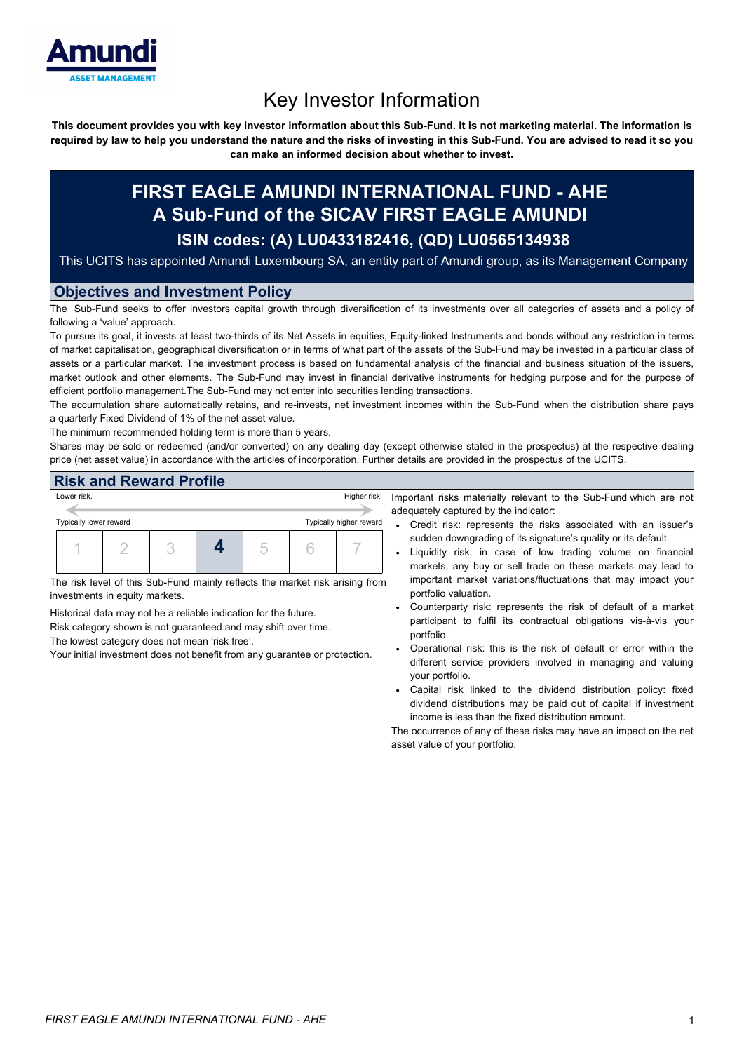

# Key Investor Information

This document provides you with key investor information about this Sub-Fund. It is not marketing material. The information is required by law to help you understand the nature and the risks of investing in this Sub-Fund. You are advised to read it so you **can make an informed decision about whether to invest.**

# **FIRST EAGLE AMUNDI INTERNATIONAL FUND - AHE A Sub-Fund of the SICAV FIRST EAGLE AMUNDI ISIN codes: (A) LU0433182416, (QD) LU0565134938**

This UCITS has appointed Amundi Luxembourg SA, an entity part of Amundi group, as its Management Company

# **Objectives and Investment Policy**

The Sub-Fund seeks to offer investors capital growth through diversification of its investments over all categories of assets and a policy of following a 'value' approach.

To pursue its goal, it invests at least two-thirds of its Net Assets in equities, Equity-linked Instruments and bonds without any restriction in terms of market capitalisation, geographical diversification or in terms of what part of the assets of the Sub-Fund may be invested in a particular class of assets or a particular market. The investment process is based on fundamental analysis of the financial and business situation of the issuers, market outlook and other elements. The Sub-Fund may invest in financial derivative instruments for hedging purpose and for the purpose of efficient portfolio management.The Sub-Fund may not enter into securities lending transactions.

The accumulation share automatically retains, and re-invests, net investment incomes within the Sub-Fund when the distribution share pays a quarterly Fixed Dividend of 1% of the net asset value.

The minimum recommended holding term is more than 5 years.

Shares may be sold or redeemed (and/or converted) on any dealing day (except otherwise stated in the prospectus) at the respective dealing price (net asset value) in accordance with the articles of incorporation. Further details are provided in the prospectus of the UCITS.

#### **Risk and Reward Profile**

| Lower risk,            |  |  |  |  |  |                         | Higher risk, |
|------------------------|--|--|--|--|--|-------------------------|--------------|
| Typically lower reward |  |  |  |  |  | Typically higher reward |              |
|                        |  |  |  |  |  |                         |              |

The risk level of this Sub-Fund mainly reflects the market risk arising from investments in equity markets.

Historical data may not be a reliable indication for the future.

Risk category shown is not guaranteed and may shift over time.

The lowest category does not mean 'risk free'.

Your initial investment does not benefit from any guarantee or protection.

Important risks materially relevant to the Sub-Fund which are not adequately captured by the indicator:

- Credit risk: represents the risks associated with an issuer's sudden downgrading of its signature's quality or its default.
- Liquidity risk: in case of low trading volume on financial markets, any buy or sell trade on these markets may lead to important market variations/fluctuations that may impact your portfolio valuation.
- Counterparty risk: represents the risk of default of a market participant to fulfil its contractual obligations vis-à-vis your portfolio.
- Operational risk: this is the risk of default or error within the different service providers involved in managing and valuing your portfolio.
- Capital risk linked to the dividend distribution policy: fixed dividend distributions may be paid out of capital if investment income is less than the fixed distribution amount.

The occurrence of any of these risks may have an impact on the net asset value of your portfolio.